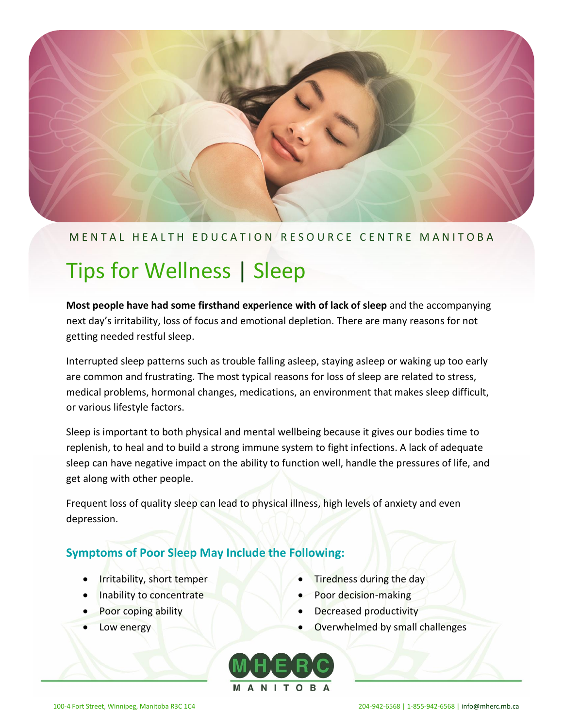

#### M E N T A L H E A L T H E D U C A T I O N R E S O U R C E C E N T R EM A N I T O B A

# Tips for Wellness | Sleep

**Most people have had some firsthand experience with of lack of sleep** and the accompanying next day's irritability, loss of focus and emotional depletion. There are many reasons for not getting needed restful sleep.

Interrupted sleep patterns such as trouble falling asleep, staying asleep or waking up too early are common and frustrating. The most typical reasons for loss of sleep are related to stress, medical problems, hormonal changes, medications, an environment that makes sleep difficult, or various lifestyle factors.

Sleep is important to both physical and mental wellbeing because it gives our bodies time to replenish, to heal and to build a strong immune system to fight infections. A lack of adequate sleep can have negative impact on the ability to function well, handle the pressures of life, and get along with other people.

Frequent loss of quality sleep can lead to physical illness, high levels of anxiety and even depression.

# **Symptoms of Poor Sleep May Include the Following:**

- **•** Irritability, short temper
- Inability to concentrate
- Poor coping ability
- Low energy
- Tiredness during the day
- Poor decision-making
- Decreased productivity
- Overwhelmed by small challenges

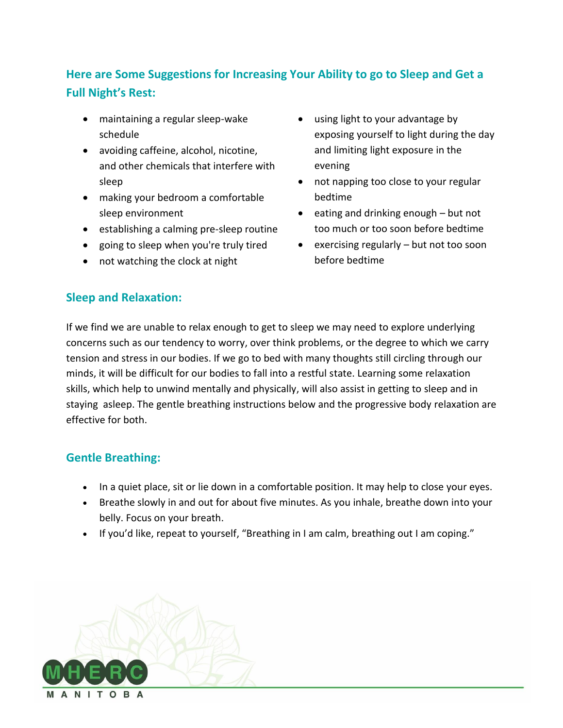# **Here are Some Suggestions for Increasing Your Ability to go to Sleep and Get a Full Night's Rest:**

- maintaining a regular sleep-wake schedule
- avoiding caffeine, alcohol, nicotine, and other chemicals that interfere with sleep
- making your bedroom a comfortable sleep environment
- establishing a calming pre-sleep routine
- going to sleep when you're truly tired
- not watching the clock at night
- using light to your advantage by exposing yourself to light during the day and limiting light exposure in the evening
- not napping too close to your regular bedtime
- eating and drinking enough but not too much or too soon before bedtime
- exercising regularly but not too soon before bedtime

# **Sleep and Relaxation:**

If we find we are unable to relax enough to get to sleep we may need to explore underlying concerns such as our tendency to worry, over think problems, or the degree to which we carry tension and stress in our bodies. If we go to bed with many thoughts still circling through our minds, it will be difficult for our bodies to fall into a restful state. Learning some relaxation skills, which help to unwind mentally and physically, will also assist in getting to sleep and in staying asleep. The gentle breathing instructions below and the progressive body relaxation are effective for both.

# **Gentle Breathing:**

- In a quiet place, sit or lie down in a comfortable position. It may help to close your eyes.
- Breathe slowly in and out for about five minutes. As you inhale, breathe down into your belly. Focus on your breath.
- If you'd like, repeat to yourself, "Breathing in I am calm, breathing out I am coping."